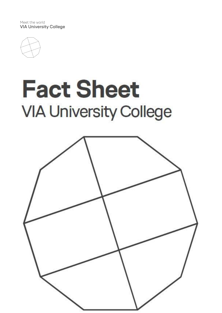Meet the world VIA University College



# **Fact Sheet VIA University College**

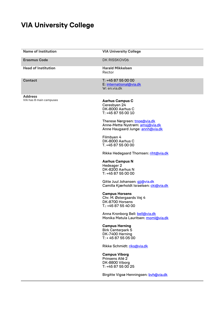## **VIA University College**

| <b>Name of Institution</b>                | <b>VIA University College</b>                                                                        |
|-------------------------------------------|------------------------------------------------------------------------------------------------------|
| <b>Erasmus Code</b>                       | DK RISSKOV06                                                                                         |
| <b>Head of Institution</b>                | <b>Harald Mikkelsen</b><br>Rector                                                                    |
| <b>Contact</b>                            | T: +45 87 55 00 00<br>E: international@via.dk<br>W: en.via.dk                                        |
| <b>Address</b><br>VIA has 8 main campuses | <b>Aarhus Campus C</b><br>Ceresbyen 24<br>DK-8000 Aarhus C<br>T: +45 87 55 00 10                     |
|                                           | Therese Nørgreen: tnoe@via.dk<br>Anne-Mette Nystrøm: amsj@via.dk<br>Anne Haugaard Junge: annh@via.dk |
|                                           | Filmbyen 4<br>DK-8000 Aarhus C<br>T. +45 87 55 00 00                                                 |
|                                           | Rikke Hedegaard Thomsen: riht@via.dk                                                                 |
|                                           | <b>Aarhus Campus N</b><br>Hedeager 2<br>DK-8200 Aarhus N<br>T: +45 87 55 00 00                       |
|                                           | Gitte Juul Johansen: gjj@via.dk<br>Camilla Kjærholdt Israelsen: cki@via.dk                           |
|                                           | <b>Campus Horsens</b><br>Chr. M. Østergaards Vej 4<br>DK-8700 Horsens<br>T.: +45 87 55 40 00         |
|                                           | Anna Kronborg Bell: <u>bell@via.dk</u><br>Monika Matula Lauritsen: moml@via.dk                       |
|                                           | <b>Campus Herning</b><br><b>Birk Centerpark 5</b><br>DK-7400 Herning<br>T: + 45 87 55 05 00          |
|                                           | Rikke Schmidt: riks@via.dk                                                                           |
|                                           | <b>Campus Viborg</b><br>Prinsens Allé 2<br>DK-8800 Viborg<br>T: +45 87 55 00 25                      |
|                                           | Birgitte Vigsø Henningsen: byh@via.dk                                                                |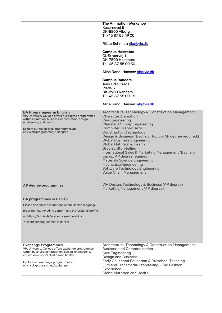**The Animation Workshop** Kasernevej 5 DK-8800 Viborg T: +45 87 55 49 00

Rikke Schmidt: [riks@via.dk](mailto:riks@via.dk)

#### **Campus Holstebro**

Gl. Struervej 1 DK-7500 Holstebro T.: +45 87 55 00 30

Alice Randi Hansen: [ah@via.dk](mailto:ah@via.dk)

#### **Campus Randers**

Jens Otto Krags Plads 3 DK-8900 Randers C T.: +45 87 55 00 15

#### Alice Randi Hansen: [ah@via.dk](mailto:ah@via.dk)

#### **BA Programmes in English**

VIA University College offers full degree programmes within animation, business, construction, design, engineering and health.

Explore our full degree programmes at: en.via.dk/programmes/fulldegree

Architectural Technology & Construction Management Character Animation Civil Engineering Climate & Supply Engineering Computer Graphic Arts Construction Technology Design & Business (Bachelor top up. AP degree required.) Global Business Engineering Global Nutrition & Health Graphic Storytelling International Sales & Marketing Management (Bachelor top up. AP degree required.) Materials Science Engineering Mechanical Engineering Software Technology Engineering Value Chain Management

### **AP degree programmes**

VIA Design, Technology & Business (AP degree) Marketing Management (AP degree)

#### **BA programmes in Danish**

Please find short descriptions of our Danish-language

programmes, including content and professional profile

at: https://en.via.dk/academic-partnerships

?accordion=programmes in danish

#### **Exchange Programmes**

VIA University College offers exchange programmes within business, construction, design, engineering, education & social studies and health.

Explore our exchange programmes at: en.via.dk/programmes/exchange

Architectural Technology & Construction Management Business and Communication Civil Engineering Design and Business Early Childhood Education & Preschool Teaching Film and Transmedia Storytelling - The Fashion **Experience** Global Nutrition and Health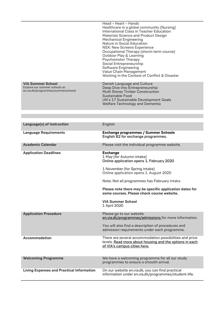|                                                                                                  | Head - Heart - Hands<br>Healthcare in a global community (Nursing)<br>International Class in Teacher Education<br>Materials Science and Product Design<br><b>Mechanical Engineering</b><br>Nature in Social Education<br>NSX: New Screens Experience<br>Occupational Therapy (shorm term course)<br>Outdoor Play & Learning<br><b>Psychomotor Therapy</b><br>Social Entrepreneurship<br><b>Software Engineering</b><br>Value Chain Management<br>Working in the Context of Conflict & Disaster |
|--------------------------------------------------------------------------------------------------|------------------------------------------------------------------------------------------------------------------------------------------------------------------------------------------------------------------------------------------------------------------------------------------------------------------------------------------------------------------------------------------------------------------------------------------------------------------------------------------------|
| <b>VIA Summer School</b><br>Explore our summer schools at:<br>en.via.dk/programmes/summerschools | Danish Language and Culture<br>Deep Dive into Entrepreneurship<br><b>Multi Storey Timber Construction</b><br>Sustainable Food<br>UN's 17 Sustainable Development Goals<br>Welfare Technology and Dementia                                                                                                                                                                                                                                                                                      |
|                                                                                                  |                                                                                                                                                                                                                                                                                                                                                                                                                                                                                                |

| Language(s) of Instruction                       | English                                                                                                                                                                                                                                                                                                                                                                     |
|--------------------------------------------------|-----------------------------------------------------------------------------------------------------------------------------------------------------------------------------------------------------------------------------------------------------------------------------------------------------------------------------------------------------------------------------|
| <b>Language Requirements</b>                     | <b>Exchange programmes / Summer Schools</b><br>English B2 for exchange programmes.                                                                                                                                                                                                                                                                                          |
| <b>Academic Calendar</b>                         | Please visit the individual programme website.                                                                                                                                                                                                                                                                                                                              |
| <b>Application Deadlines</b>                     | <b>Exchange</b><br>1 May (for Autumn intake)<br>Online application opens 1. February 2020<br>1 November (for Spring intake)<br>Online application opens 1. August 2020<br>Note: Not all programmes has February intake<br>Please note there may be specific application dates for<br>some courses. Please check course website.<br><b>VIA Summer School</b><br>1 April 2020 |
| <b>Application Procedure</b>                     | Please go to our website<br>en.via.dk/programmes/admissions for more information.<br>You will also find a description of procedures and<br>admission requirements under each programme.                                                                                                                                                                                     |
| <b>Accommodation</b>                             | There are several accommodation possibilities and price<br>levels. Read more about housing and the options in each<br>of VIA's campus cities here.                                                                                                                                                                                                                          |
| <b>Welcoming Programme</b>                       | We have a welcoming programme for all our study<br>programmes to ensure a smooth arrival.                                                                                                                                                                                                                                                                                   |
| <b>Living Expenses and Practical Information</b> | On our website en.via.dk, you can find practical<br>information under en.via.dk/programmes/student-life.                                                                                                                                                                                                                                                                    |